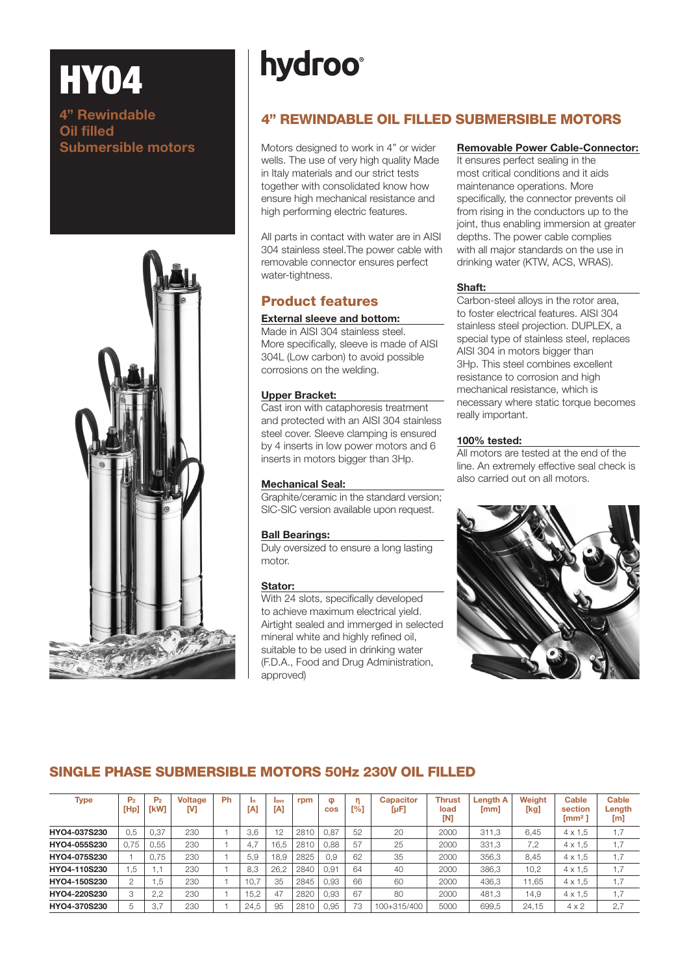# **hydroo**

## 4" REWINDABLE OIL FILLED SUBMERSIBLE MOTORS

**Submersible motors** Motors designed to work in 4" or wider wells. The use of very high quality Made in Italy materials and our strict tests together with consolidated know how ensure high mechanical resistance and high performing electric features.

> All parts in contact with water are in AISI 304 stainless steel.The power cable with removable connector ensures perfect water-tightness.

## Product features

#### External sleeve and bottom:

Made in AISI 304 stainless steel. More specifically, sleeve is made of AISI 304L (Low carbon) to avoid possible corrosions on the welding.

#### Upper Bracket:

Cast iron with cataphoresis treatment and protected with an AISI 304 stainless steel cover. Sleeve clamping is ensured by 4 inserts in low power motors and 6 inserts in motors bigger than 3Hp.

#### Mechanical Seal:

Graphite/ceramic in the standard version; SIC-SIC version available upon request.

#### Ball Bearings:

Duly oversized to ensure a long lasting motor.

#### Stator:

With 24 slots, specifically developed to achieve maximum electrical yield. Airtight sealed and immerged in selected mineral white and highly refined oil. suitable to be used in drinking water (F.D.A., Food and Drug Administration, approved)

#### Removable Power Cable-Connector:

It ensures perfect sealing in the most critical conditions and it aids maintenance operations. More specifically, the connector prevents oil from rising in the conductors up to the joint, thus enabling immersion at greater depths. The power cable complies with all major standards on the use in drinking water (KTW, ACS, WRAS).

#### Shaft:

Carbon-steel alloys in the rotor area, to foster electrical features. AISI 304 stainless steel projection. DUPLEX, a special type of stainless steel, replaces AISI 304 in motors bigger than 3Hp. This steel combines excellent resistance to corrosion and high mechanical resistance, which is necessary where static torque becomes really important.

#### 100% tested:

All motors are tested at the end of the line. An extremely effective seal check is also carried out on all motors.



## SINGLE PHASE SUBMERSIBLE MOTORS 50Hz 230V OIL FILLED

| <b>Type</b>  | P <sub>2</sub><br>[Hp] | P <sub>2</sub><br>[kW] | <b>Voltage</b><br>M | Ph | In.<br>[A] | lavy<br>[A] | rpm  | $\bullet$<br><b>COS</b> | [%] | <b>Capacitor</b><br>$[\mu F]$ | <b>Thrust</b><br>load<br>[N] | <b>Lenath A</b><br>[mm] | Weight<br>[kg] | Cable<br>section<br>$\mathrm{Im}\mathrm{m}^2$ | Cable<br>Length<br>[m] |
|--------------|------------------------|------------------------|---------------------|----|------------|-------------|------|-------------------------|-----|-------------------------------|------------------------------|-------------------------|----------------|-----------------------------------------------|------------------------|
| HYO4-037S230 | 0.5                    | 0.37                   | 230                 |    | 3.6        | 12          | 2810 | 0.87                    | 52  | 20                            | 2000                         | 311.3                   | 6.45           | $4 \times 1.5$                                | 1,7                    |
| HYO4-055S230 | 0.75                   | 0.55                   | 230                 |    | 4.7        | 16.5        | 2810 | 0.88                    | 57  | 25                            | 2000                         | 331.3                   | 7.2            | $4 \times 1.5$                                | 1,7                    |
| HYO4-075S230 |                        | 0.75                   | 230                 |    | 5.9        | 18.9        | 2825 | 0.9                     | 62  | 35                            | 2000                         | 356.3                   | 8.45           | $4 \times 1.5$                                | 1,7                    |
| HYO4-110S230 | 1.5                    |                        | 230                 |    | 8,3        | 26.2        | 2840 | 0.91                    | 64  | 40                            | 2000                         | 386.3                   | 10.2           | $4 \times 1.5$                                | 1,7                    |
| HYO4-150S230 | $\overline{2}$         | 5، ،                   | 230                 |    | 10.7       | 35          | 2845 | 0.93                    | 66  | 60                            | 2000                         | 436.3                   | 11.65          | $4 \times 1.5$                                | 1,7                    |
| HYO4-220S230 | 3                      | 2,2                    | 230                 |    | 15.2       | 47          | 2820 | 0.93                    | 67  | 80                            | 2000                         | 481.3                   | 14,9           | $4 \times 1.5$                                | 1,7                    |
| HYO4-370S230 | 5                      | 3.7                    | 230                 |    | 24.5       | 95          | 2810 | 0.95                    | 73  | 100+315/400                   | 5000                         | 699.5                   | 24,15          | $4 \times 2$                                  | 2,7                    |



**HY04** 

4" Rewindable

Oil filled